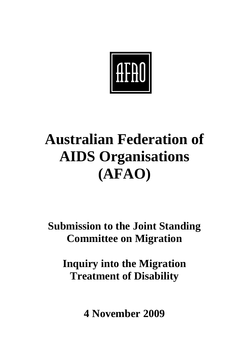

# **Australian Federation of AIDS Organisations (AFAO)**

**Submission to the Joint Standing Committee on Migration** 

**Inquiry into the Migration Treatment of Disability** 

**4 November 2009**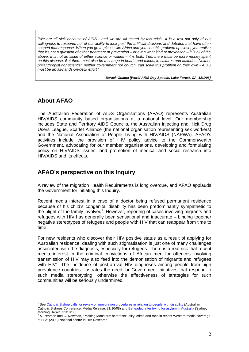"*We are all sick because of AIDS - and we are all tested by this crisis. It is a test not only of our willingness to respond, but of our ability to look past the artificial divisions and debates that have often shaped that response. When you go to places like Africa and you see this problem up close, you realize that it's not a question of either treatment or prevention – or even what kind of prevention – it is all of the above. It is not an issue of either science or values – it is both. Yes, there must be more money spent on this disease. But there must also be a change in hearts and minds, in cultures and attitudes. Neither philanthropist nor scientist, neither government nor church, can solve this problem on their own - AIDS must be an all-hands-on-deck effort."* 

*Barack Obama [World AIDS Day Speech, Lake Forest, CA, 12/1/06]* 

## **About AFAO**

The Australian Federation of AIDS Organisations (AFAO) represents Australian HIV/AIDS community based organisations at a national level. Our membership includes State and Territory AIDS Councils, the Australian Injecting and Illicit Drug Users League, Scarlet Alliance (the national organisation representing sex workers) and the National Association of People Living with HIV/AIDS (NAPWA). AFAO's activities include the provision of HIV policy advice to the Commonwealth Government, advocating for our member organisations, developing and formulating policy on HIV/AIDS issues, and promotion of medical and social research into HIV/AIDS and its effects.

## **AFAO's perspective on this Inquiry**

A review of the migration Health Requirements is long overdue, and AFAO applauds the Government for initiating this Inquiry.

Recent media interest in a case of a doctor being refused permanent residence because of his child's congenital disability has been predominantly sympathetic to the plight of the family involved<sup>1</sup>. However, reporting of cases involving migrants and refugees with HIV has generally been sensational and inaccurate – binding together negative stereotypes of refugees and people with HIV that can reappear from time to time.

For new residents who discover their HIV positive status as a result of applying for Australian residence, dealing with such stigmatisation is just one of many challenges associated with the diagnosis, especially for refugees. There is a real risk that recent media interest in the criminal convictions of African men for offences involving transmission of HIV may also feed into the demonisation of migrants and refugees with  $HIV<sup>2</sup>$ . The incidence of post-arrival  $HIV$  diagnoses among people from high prevalence countries illustrates the need for Government initiatives that respond to such media stereotyping, otherwise the effectiveness of strategies for such communities will be seriously undermined.

 1 See Catholic Bishop calls for review of immigration procedures in relation to people with disability (Australian

Catholic Bishops Conference, Media Release, 31/10/08) and Beheaded after trying for asylum in Australia (Sydney Morning Herald, 31/10/08)

<sup>&</sup>lt;sup>2</sup> A. Pearson and C. Newman, ' Making Monsters: heterosexuality, crime and race in recent Western media coverage of HIV" (2008) National centre in HIV Research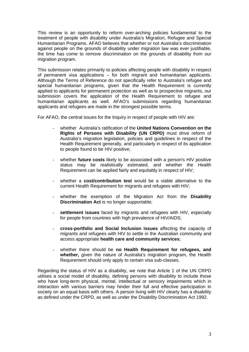This review is an opportunity to reform over-arching policies fundamental to the treatment of people with disability under Australia's Migration, Refugee and Special Humanitarian Programs. AFAO believes that whether or not Australia's discrimination against people on the grounds of disability under migration law was ever justifiable, the time has come to remove discrimination on the grounds of disability from our migration program.

This submission relates primarily to policies affecting people with disability in respect of permanent visa applications – for both migrant and humanitarian applicants. Although the Terms of Reference do not specifically refer to Australia's refugee and special humanitarian programs, given that the Health Requirement is currently applied to applicants for permanent protection as well as to prospective migrants, our submission covers the application of the Health Requirement to refugee and humanitarian applicants as well. AFAO's submissions regarding humanitarian applicants and refugees are made in the strongest possible terms.

For AFAO, the central issues for the Inquiry in respect of people with HIV are:

- whether Australia's ratification of the **United Nations Convention on the Rights of Persons with Disability (UN CRPD)** must drive reform of Australia's migration legislation, policies and guidelines in respect of the Health Requirement generally, and particularly in respect of its application to people found to be HIV positive;
- whether **future costs** likely to be associated with a person's HIV positive status may be realistically estimated, and whether the Health Requirement can be applied fairly and equitably in respect of HIV;
- whether a **cost/contribution test** would be a viable alternative to the current Health Requirement for migrants and refugees with HIV;
- whether the exemption of the Migration Act from the **Disability Discrimination Act** is no longer supportable;
- settlement issues faced by migrants and refugees with HIV, especially for people from countries with high prevalence of HIV/AIDS;
- **cross-portfolio and Social Inclusion issues** affecting the capacity of migrants and refugees with HIV to settle in the Australian community and access appropriate **health care and community services**;
- whether there should be **no Health Requirement for refugees, and whether,** given the nature of Australia's migration program, the Health Requirement should only apply to certain visa sub-classes.

Regarding the status of HIV as a disability, we note that Article 1 of the UN CRPD utilises a social model of disability, defining persons with disability to include those who have long-term physical, mental, intellectual or sensory impairments which in interaction with various barriers may hinder their full and effective participation in society on an equal basis with others. A person living with HIV clearly has a disability as defined under the CRPD, as well as under the Disability Discrimination Act 1992.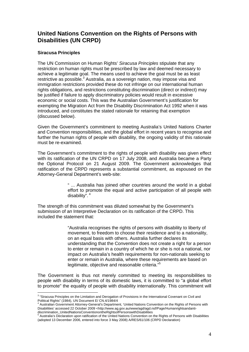## **United Nations Convention on the Rights of Persons with Disabilities (UN CRPD)**

#### **Siracusa Principles**

The UN Commission on Human Rights' *Siracusa Principles* stipulate that any restriction on human rights must be prescribed by law and deemed necessary to achieve a legitimate goal. The means used to achieve the goal must be as least restrictive as possible.<sup>3</sup> Australia, as a sovereign nation, may impose visa and immigration restrictions provided these do not infringe on our international human rights obligations, and restrictions constituting discrimination (direct or indirect) may be justified if failure to apply discriminatory policies would result in excessive economic or social costs. This was the Australian Government's justification for exempting the Migration Act from the Disability Discrimination Act 1992 when it was introduced, and constitutes the stated rationale for retaining that exemption (discussed below).

Given the Government's commitment to meeting Australia's United Nations Charter and Convention responsibilities, and the global effort in recent years to recognise and further the human rights of people with disability, the ongoing validity of this rationale must be re-examined.

The Government's commitment to the rights of people with disability was given effect with its ratification of the UN CRPD on 17 July 2008, and Australia became a Party the Optional Protocol on 21 August 2009. The Government acknowledges that ratification of the CRPD represents a substantial commitment, as espoused on the Attorney-General Department's web-site:

> " ... Australia has joined other countries around the world in a global effort to promote the equal and active participation of all people with disability".  $4$

The strength of this commitment was diluted somewhat by the Government's submission of an Interpretive Declaration on its ratification of the CRPD. This included the statement that*:* 

> "Australia recognises the rights of persons with disability to liberty of movement, to freedom to choose their residence and to a nationality, on an equal basis with others. Australia further declares its understanding that the Convention does not create a right for a person to enter or remain in a country of which he or she is not a national, nor impact on Australia's health requirements for non-nationals seeking to enter or remain in Australia, where these requirements are based on legitimate, objective and reasonable criteria."<sup>5</sup>

The Government is thus not merely committed to meeting its responsibilities to people with disability in terms of its domestic laws, it is committed to "a global effort to promote" the equality of people with disability internationally. This commitment will

 3 "Siracusa Principles on the Limitation and Derogation of Provisions in the International Covenant on Civil and Political Rights" (1984), UN Document E/ CN.4/1984/4

<sup>4</sup> Australian Government Attorney-General's Department, 'United Nations Convention on the Rights of Persons with Disabilities' accessed 22 October 2009 <http://www.ag.gov.au/www/agd/agd.nsf/Page/Humanrightsandanti-

discrimination\_UnitedNationsConventionontheRightsofPersonswithDisabilities<br><sup>5</sup> Australia's Declaration upon ratification of the United Nations Convention on the Rights of Persons with Disabilities (adopted 13 December 2006, entered into force 3 May 2008) A/RES/61/106 (CRPD Declaration)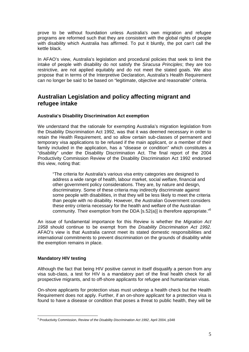prove to be without foundation unless Australia's own migration and refugee programs are reformed such that they are consistent with the global rights of people with disability which Australia has affirmed. To put it bluntly, the pot can't call the kettle black.

In AFAO's view, Australia's legislation and procedural policies that seek to limit the intake of people with disability do not satisfy the *Siracusa Principles*; they are too restrictive, are not applied equitably and do not meet the stated goals. We also propose that in terms of the Interpretive Declaration, Australia's Health Requirement can no longer be said to be based on "legitimate, objective and reasonable" criteria.

## **Australian Legislation and policy affecting migrant and refugee intake**

#### **Australia's Disability Discrimination Act exemption**

We understand that the rationale for exempting Australia's migration legislation from the Disability Discrimination Act 1992, was that it was deemed necessary in order to retain the Health Requirement, and so allow certain sub-classes of permanent and temporary visa applications to be refused if the main applicant, or a member of their family included in the application, has a "disease or condition" which constitutes a "disability" under the Disability Discrimination Act. The final report of the 2004 Productivity Commission Review of the Disability Discrimination Act 1992 endorsed this view, noting that:

"The criteria for Australia's various visa entry categories are designed to address a wide range of health, labour market, social welfare, financial and other government policy considerations. They are, by nature and design, discriminatory. Some of these criteria may indirectly discriminate against some people with disabilities, in that they will be less likely to meet the criteria than people with no disability. However, the Australian Government considers these entry criteria necessary for the health and welfare of the Australian community. Their exemption from the DDA [s.52(a)] is therefore appropriate."<sup>6</sup>

An issue of fundamental importance for this Review is whether the *Migration Act 1958* should continue to be exempt from the *Disability Discrimination Act 1992*. AFAO's view is that Australia cannot meet its stated domestic responsibilities and international commitments to prevent discrimination on the grounds of disability while the exemption remains in place.

#### **Mandatory HIV testing**

Although the fact that being HIV positive cannot in itself disqualify a person from any visa sub-class, a test for HIV is a mandatory part of the final health check for all prospective migrants, and to off-shore applicants for refugee and humanitarian visas.

On-shore applicants for protection visas must undergo a health check but the Health Requirement does not apply. Further, if an on-shore applicant for a protection visa is found to have a disease or condition that poses a threat to public health, they will be

 6 Productivity Commission, *Review of the Disability Discrimination Act 1992*, April 2004, p348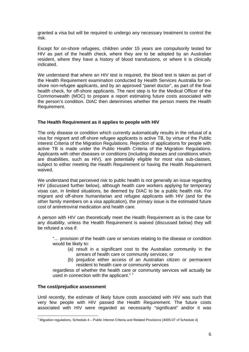granted a visa but will be required to undergo any necessary treatment to control the risk.

Except for on-shore refugees, children under 15 years are compulsorily tested for HIV as part of the health check, where they are to be adopted by an Australian resident, where they have a history of blood transfusions, or where it is clinically indicated.

We understand that where an HIV test is required, the blood test is taken as part of the Health Requirement examination conducted by Health Services Australia for onshore non-refugee applicants, and by an approved "panel doctor", as part of the final health check, for off-shore applicants. The next step is for the Medical Officer of the Commonwealth (MOC) to prepare a report estimating future costs associated with the person's condition. DIAC then determines whether the person meets the Health Requirement.

#### **The Health Requirement as it applies to people with HIV**

The only disease or condition which currently automatically results in the refusal of a visa for migrant and off-shore refugee applicants is active TB, by virtue of the Public interest Criteria of the Migration Regulations. Rejection of applications for people with active TB is made under the Public Health Criteria of the Migration Regulations. Applicants with other diseases or conditions (including diseases and conditions which are disabilities, such as HIV), are potentially eligible for most visa sub-classes, subject to either meeting the Health Requirement or having the Health Requirement waived.

We understand that perceived risk to public health is not generally an issue regarding HIV (discussed further below), although health care workers applying for temporary visas can, in limited situations, be deemed by DIAC to be a public health risk. For migrant and off-shore humanitarian and refugee applicants with HIV (and for the other family members on a visa application), the primary issue is the estimated future cost of antiretroviral medication and health care.

A person with HIV can theoretically meet the Health Requirement as is the case for any disability, unless the Health Requirement is waived (discussed below) they will be refused a visa if:

"… provision of the health care or services relating to the disease or condition would be likely to:

- (a) result in a significant cost to the Australian community in the arrears of health care or community services; or
- (b) prejudice either access of an Australian citizen or permanent resident to health care or community services

regardless of whether the health care or community services will actually be used in connection with the applicant."<sup>7</sup>

#### **The cost/prejudice assessment**

Until recently, the estimate of likely future costs associated with HIV was such that very few people with HIV passed the Health Requirement. The future costs associated with HIV were regarded as necessarily "significant" and/or it was

 7 Migration regulations, Schedule 4 – Public Interest Criteria and Related Provisions (4005-07 of Schedule 4)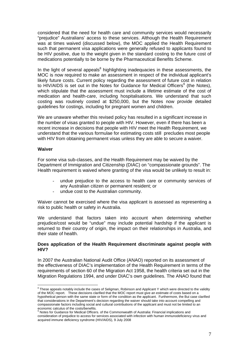considered that the need for health care and community services would necessarily "prejudice" Australians' access to these services. Although the Health Requirement was at times waived (discussed below), the MOC applied the Health Requirement such that permanent visa applications were generally refused to applicants found to be HIV positive, due to the weight given in the standard costing to the future cost of medications potentially to be borne by the Pharmaceutical Benefits Scheme.

In the light of several appeals<sup>8</sup> highlighting inadequacies in these assessments, the MOC is now required to make an assessment in respect of the individual applicant's likely future costs. Current policy regarding the assessment of future cost in relation to HIV/AIDS is set out in the Notes for Guidance for Medical Officers<sup>9</sup> (the Notes), which stipulate that the assessment must include a lifetime estimate of the cost of medication and health-care, including hospitalisations. We understand that such costing was routinely costed at \$250,000, but the Notes now provide detailed guidelines for costings, including for pregnant women and children.

We are unaware whether this revised policy has resulted in a significant increase in the number of visas granted to people with HIV. However, even if there has been a recent increase in decisions that people with HIV meet the Health Requirement, we understand that the various formulae for estimating costs still precludes most people with HIV from obtaining permanent visas unless they are able to secure a waiver.

#### **Waiver**

1

For some visa sub-classes, and the Health Requirement may be waived by the Department of Immigration and Citizenship (DIAC) on "compassionate grounds". The Health requirement is waived where granting of the visa would be unlikely to result in:

- undue prejudice to the access to health care or community services of any Australian citizen or permanent resident; or
- undue cost to the Australian community.

Waiver cannot be exercised where the visa applicant is assessed as representing a risk to public health or safety in Australia.

We understand that factors taken into account when determining whether prejudice/cost would be "undue" may include potential hardship if the applicant is returned to their country of origin, the impact on their relationships in Australia, and their state of health.

#### **Does application of the Health Requirement discriminate against people with HIV?**

In 2007 the Australian National Audit Office (ANAO) reported on its assessment of the effectiveness of DIAC's implementation of the Health Requirement in terms of the requirements of section 60 of the Migration Act 1958, the health criteria set out in the Migration Regulations 1994, and under DIAC's own guidelines. The ANAO found that

 $8$  These appeals notably include the cases of Seligman, Robinson and Applicant Y which were directed to the validity of the MOC report. These decisions clarified that the MOC report must give an estimate of costs based on a hypothetical person with the same state or form of the condition as the applicant. Furthermore, the Bui case clarified that considerations in the Department's decision regarding the waiver should take into account compelling and compassionate factors including social and cultural contributions of the applicant and must not be limited to an economic calculus of the costs/benefits.<br><sup>9</sup> Nates for Quidance for Medical Officers

Notes for Guidance for Medical Officers. of the Commonwealth of Australia: Financial implications and consideration of prejudice to access for services associated with infection with human immunodeficiency virus and acquired immune deficiency syndrome (HIV/AIDS), 9 July 2008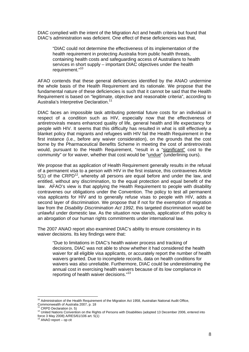DIAC complied with the intent of the Migration Act and health criteria but found that DIAC's administration was deficient. One effect of these deficiencies was that,

"DIAC could not determine the effectiveness of its implementation of the health requirement in protecting Australia from public health threats, containing health costs and safeguarding access of Australians to health services in short supply – important DIAC objectives under the health requirement."<sup>10</sup>

AFAO contends that these general deficiencies identified by the ANAO undermine the whole basis of the Health Requirement and its rationale. We propose that the fundamental nature of these deficiencies is such that it cannot be said that the Health Requirement is based on "legitimate, objective and reasonable criteria", according to Australia's Interpretive Declaration.<sup>11</sup>

DIAC faces an impossible task attributing potential future costs for an individual in respect of a condition such as HIV, especially now that the effectiveness of antiretrovirals means enhanced quality of life, general health and life expectancy for people with HIV. It seems that this difficulty has resulted in what is still effectively a blanket policy that migrants and refugees with HIV fail the Health Requirement in the first instance (i.e., before any waiver consideration), on the grounds that the cost borne by the Pharmaceutical Benefits Scheme in meeting the cost of antiretrovirals would, pursuant to the Health Requirement, "result in a "significant" cost to the community" or for waiver, whether that cost would be "undue" (underlining ours).

We propose that as application of Health Requirement generally results in the refusal of a permanent visa to a person with HIV in the first instance, this contravenes Article  $5(1)$  of the CRPD<sup>12</sup>, whereby all persons are equal before and under the law, and entitled, without any discrimination, to the equal protection and equal benefit of the law. AFAO's view is that applying the Health Requirement to people with disability contravenes our obligations under the Convention. The policy to test all permanent visa applicants for HIV and to generally refuse visas to people with HIV, adds a second layer of discrimination. We propose that if not for the exemption of migration law from the *Disability Discrimination Act 1992*, this targeted discrimination would be unlawful under domestic law. As the situation now stands, application of this policy is an abrogation of our human rights commitments under international law.

The 2007 ANAO report also examined DIAC's ability to ensure consistency in its waiver decisions. Its key findings were that:

"Due to limitations in DIAC's health waiver process and tracking of decisions, DIAC was not able to show whether it had considered the health waiver for all eligible visa applicants, or accurately report the number of health waivers granted. Due to incomplete records, data on health conditions for waivers was also unreliable. Furthermore, DIAC could be underestimating the annual cost in exercising health waivers because of its low compliance in reporting of health waiver decisions."13

<sup>1</sup>  $10$  Administration of the Health Requirement of the Migration Act 1958, Australian National Audit Office, Commonwealth of Australia 2007, p. 18<br><sup>11</sup> CRPD Declaration (n. 5)

<sup>&</sup>lt;sup>12</sup> United Nations Convention on the Rights of Persons with Disabilities (adopted 13 December 2006, entered into

force 3 May 2008) A/RES/61/106 art. 5(1) 13 ANAO report – op cit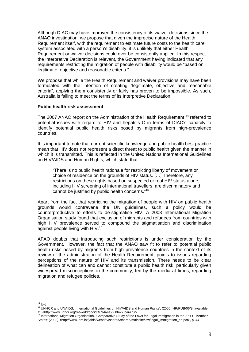Although DIAC may have improved the consistency of its waiver decisions since the ANAO investigation, we propose that given the imprecise nature of the Health Requirement itself, with the requirement to estimate future costs to the health care system associated with a person's disability, it is unlikely that either Health Requirement or waiver decisions could ever be consistently applied. In this respect the Interpretive Declaration is relevant, the Government having indicated that any requirements restricting the migration of people with disability would be "based on legitimate, objective and reasonable criteria."

We propose that while the Health Requirement and waiver provisions may have been formulated with the intention of creating "legitimate, objective and reasonable criteria", applying them consistently or fairly has proven to be impossible. As such, Australia is failing to meet the terms of its Interpretive Declaration.

#### **Public health risk assessment**

The 2007 ANAO report on the Administration of the Health Requirement<sup>14</sup> referred to potential issues with regard to HIV and hepatitis C in terms of DIAC's capacity to identify potential public health risks posed by migrants from high-prevalence countries.

It is important to note that current scientific knowledge and public health best practice mean that HIV does not represent a direct threat to public health given the manner in which it is transmitted. This is reflected in the United Nations International Guidelines on HIV/AIDS and Human Rights, which state that:

"There is no public health rationale for restricting liberty of movement or choice of residence on the grounds of HIV status. […] Therefore, any restrictions on these rights based on suspected or real HIV status alone, including HIV screening of international travellers, are discriminatory and cannot be justified by public health concerns."15

Apart from the fact that restricting the migration of people with HIV on public health grounds would contravene the UN guidelines, such a policy would be counterproductive to efforts to de-stigmatise HIV. A 2008 International Migration Organisation study found that exclusion of migrants and refugees from countries with high HIV prevalence served to compound the stigmatisation and discrimination against people living with HIV.16

AFAO doubts that introducing such restrictions is under consideration by the Government. However, the fact that the ANAO saw fit to refer to potential public health risks posed by migrants from high prevalence countries in the context of its review of the administration of the Health Requirement, points to issues regarding perceptions of the nature of HIV and its transmission. There needs to be clear delineation of what can and cannot constitute a public health risk, particularly given widespread misconceptions in the community, fed by the media at times, regarding migration and refugee policies.

 $14$  Ibid

<sup>&</sup>lt;sup>15</sup> UNHCR and UNAIDS, 'International Guidelines on HIV/AIDS and Human Rights', (2006) HR/PUB/06/9, available at: <http://www.unhcr.org/refworld/docid/4694a4a92.html> para 127.<br><sup>16</sup> International Migration Organisation, 'Comparative Study of the Laws for Legal Immigration in the 27 EU Member

States' (2008) <http://www.iom.int/jahia/webdav/shared/shared/mainsite/law/legal\_immigration\_en.pdf>, p. 44.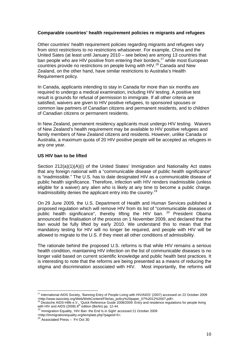#### **Comparable countries' health requirement policies re migrants and refugees**

Other countries' health requirement policies regarding migrants and refugees vary from strict restrictions to no restrictions whatsoever. For example, China and the United Sates (at least until January 2010 – see below) are among 13 countries that ban people who are HIV positive from entering their borders,<sup>17</sup> while most European countries provide no restrictions on people living with HIV.<sup>18</sup> Canada and New Zealand, on the other hand, have similar restrictions to Australia's Health Requirement policy.

In Canada, applicants intending to stay in Canada for more than six months are required to undergo a medical examination, including HIV testing. A positive test result is grounds for refusal of permission to immigrate. If all other criteria are satisfied, waivers are given to HIV positive refugees, to sponsored spouses or common law partners of Canadian citizens and permanent residents, and to children of Canadian citizens or permanent residents.

In New Zealand, permanent residency applicants must undergo HIV testing. Waivers of New Zealand's health requirement may be available to HIV positive refugees and family members of New Zealand citizens and residents. However, unlike Canada or Australia, a maximum quota of 20 HIV positive people will be accepted as refugees in any one year.

#### **US HIV ban to be lifted**

Section 212(a)(1)(A)(i) of the United States' Immigration and Nationality Act states that any foreign national with a "communicable disease of public health significance" is "inadmissible." The U.S. has to date designated HIV as a communicable disease of public health significance. Therefore, infection with HIV renders inadmissible (unless eligible for a waiver) any alien who is likely at any time to become a public charge. Inadmissibility denies the applicant entry into the country.<sup>19</sup>

On 29 June 2009, the U.S. Department of Health and Human Services published a proposed regulation which will remove HIV from its list of "communicable diseases of public health significance", thereby lifting the HIV ban. <sup>20</sup> President Obama announced the finalisation of the process on 1 November 2009, and declared that the ban would be fully lifted by early 2010. We understand this to mean that that mandatory testing for HIV will no longer be required, and people with HIV will be allowed to migrate to the U.S. if they meet all other conditions of admissibility.

The rationale behind the proposed U.S. reforms is that while HIV remains a serious health condition, maintaining HIV infection on the list of communicable diseases is no longer valid based on current scientific knowledge and public health best practices. It is interesting to note that the reforms are being presented as a means of reducing the stigma and discrimination associated with HIV. Most importantly, the reforms will

1

<sup>&</sup>lt;sup>17</sup> International AIDS Society, 'Banning Entry of People Living with HIV/AIDS' (2007) accessed on 22 October 2009 <http://www.iasociety.org/Web/WebContent/File/ias\_policy%20paper\_07%2012%2007.pdf>.

<sup>&</sup>lt;sup>18</sup> Deutsche AIDS-Hilfe e.V., 'Quick Reference Guide 2008/2009: Entry and residence regulations for people living with HIV and AIDS (2008)  $8<sup>th</sup>$  edition (Berlin) pp. 12-44.

 $19$  Immigration Equality, 'HIV Ban: the End Is in Sight' accessed 21 October 2009

<sup>&</sup>lt;http://immigrationequality.org/template.php?pageid=5>.

**Entip://mmmgrado.org/sent.com**<br><sup>20</sup> Associated Press – Fri Oct 30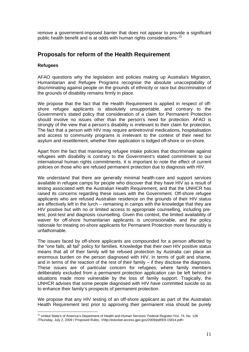remove a government-imposed barrier that does not appear to provide a significant public health benefit and is at odds with human rights considerations.<sup>21</sup>

### **Proposals for reform of the Health Requirement**

#### **Refugees**

1

AFAO questions why the legislation and policies making up Australia's Migration, Humanitarian and Refugee Programs recognise the absolute unacceptability of discriminating against people on the grounds of ethnicity or race but discrimination of the grounds of disability remains firmly in place.

We propose that the fact that the Health Requirement is applied in respect of offshore refugee applicants is absolutely unsupportable, and contrary to the Government's stated policy that consideration of a claim for Permanent Protection should involve no issues other than the person's need for protection. AFAO is strongly of the view that a person's disability is irrelevant to their claim for protection. The fact that a person with HIV may require antiretroviral medications, hospitalisation and access to community programs is irrelevant to the context of their need for asylum and resettlement, whether their application is lodged off-shore or on-shore.

Apart from the fact that maintaining refugee intake policies that discriminate against refugees with disability is contrary to the Government's stated commitment to our international human rights commitments, it is important to note the effect of current policies on those who are refused permanent protection due to diagnosis with HIV.

We understand that there are generally minimal health-care and support services available in refugee camps for people who discover that they have HIV as a result of testing associated with the Australian Health Requirement, and that the UNHCR has raised its concerns regarding these issues with the Government. Off-shore refugee applicants who are refused Australian residence on the grounds of their HIV status are effectively left in the lurch – remaining in camps with the knowledge that they are HIV positive but with no or limited access to appropriate counselling, including pretest, post-test and diagnosis counselling. Given this context, the limited availability of waiver for off-shore humanitarian applicants is unconscionable, and the policy rationale for treating on-shore applicants for Permanent Protection more favourably is unfathomable.

The issues faced by off-shore applicants are compounded for a person affected by the "one fails, all fail" policy for families. Knowledge that their own HIV positive status means that all of their family will be refused protection by Australia can place an enormous burden on the person diagnosed with HIV, in terms of guilt and shame, and in terms of the reaction of the rest of their family – if they disclose the diagnosis. These issues are of particular concern for refugees, where family members deliberately excluded from a permanent protection application can be left behind in situations made more vulnerable by the loss of family support. Tragically, the UNHCR advises that some people diagnosed with HIV have committed suicide so as to enhance their family's prospects of permanent protection.

We propose that any HIV testing of an off-shore applicant as part of the Australian Health Requirement test prior to approving their permanent visa should be purely

<sup>&</sup>lt;sup>21</sup> United State's of America's Department of Health and Human Services' Federal Register /Vol. 74, No. 126 /Thursday, July 2, 2009 / Proposed Rules, <http://edocket.access.gpo.gov/2009/pdf/E9-15814.pdf>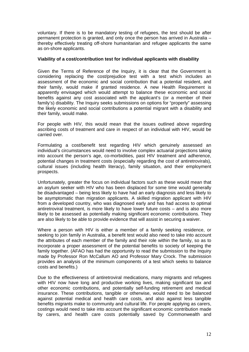voluntary. If there is to be mandatory testing of refugees, the test should be after permanent protection is granted, and only once the person has arrived in Australia – thereby effectively treating off-shore humanitarian and refugee applicants the same as on-shore applicants.

#### **Viability of a cost/contribution test for individual applicants with disability**

Given the Terms of Reference of the Inquiry, it is clear that the Government is considering replacing the cost/prejudice test with a test which includes an assessment of the economic and social contribution that a potential resident, and their family, would make if granted residence. A new Health Requirement is apparently envisaged which would attempt to balance these economic and social benefits against any cost associated with the applicant's (or a member of their family's) disability. The Inquiry seeks submissions on options for "properly" assessing the likely economic and social contributions a potential migrant with a disability and their family, would make.

For people with HIV, this would mean that the issues outlined above regarding ascribing costs of treatment and care in respect of an individual with HIV, would be carried over.

Formulating a cost/benefit test regarding HIV which genuinely assessed an individual's circumstances would need to involve complex actuarial projections taking into account the person's age, co-morbidities, past HIV treatment and adherence, potential changes in treatment costs (especially regarding the cost of antiretrovirals), cultural issues (including health literacy), family situation, and their employment prospects.

Unfortunately, greater the focus on individual factors such as these would mean that an asylum seeker with HIV who has been displaced for some time would generally be disadvantaged – being less likely to have had an early diagnosis and less likely to be asymptomatic than migration applicants. A skilled migration applicant with HIV from a developed country, who was diagnosed early and has had access to optimal antiretroviral treatment, is more likely to have lower future costs – and is also more likely to be assessed as potentially making significant economic contributions. They are also likely to be able to provide evidence that will assist in securing a waiver.

Where a person with HIV is either a member of a family seeking residence, or seeking to join family in Australia, a benefit test would also need to take into account the attributes of each member of the family and their role within the family, so as to incorporate a proper assessment of the potential benefits to society of keeping the family together. (AFAO has had the opportunity to read the submission to the Inquiry made by Professor Ron McCallum AO and Professor Mary Crock. The submission provides an analysis of the minimum components of a test which seeks to balance costs and benefits.)

Due to the effectiveness of antiretroviral medications, many migrants and refugees with HIV now have long and productive working lives, making significant tax and other economic contributions, and potentially self-funding retirement and medical insurance. These contributions, tangible or otherwise, would need to be balanced against potential medical and health care costs, and also against less tangible benefits migrants make to community and cultural life. For people applying as carers, costings would need to take into account the significant economic contribution made by carers, and health care costs potentially saved by Commonwealth and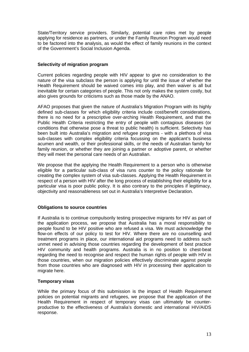State/Territory service providers. Similarly, potential care roles met by people applying for residence as partners, or under the Family Reunion Program would need to be factored into the analysis, as would the effect of family reunions in the context of the Government's Social Inclusion Agenda.

#### **Selectivity of migration program**

Current policies regarding people with HIV appear to give no consideration to the nature of the visa subclass the person is applying for until the issue of whether the Health Requirement should be waived comes into play, and then waiver is all but inevitable for certain categories of people. This not only makes the system costly, but also gives grounds for criticisms such as those made by the ANAO.

AFAO proposes that given the nature of Australia's Migration Program with its highly defined sub-classes for which eligibility criteria include cost/benefit considerations, there is no need for a prescriptive over-arching Health Requirement, and that the Public Health Criteria restricting the entry of people with contagious diseases (or conditions that otherwise pose a threat to public health) is sufficient. Selectivity has been built into Australia's migration and refugee programs - with a plethora of visa sub-classes with complex eligibility criteria focussing on the applicant's business acumen and wealth, or their professional skills, or the needs of Australian family for family reunion, or whether they are joining a partner or adoptive parent, or whether they will meet the personal care needs of an Australian.

We propose that the applying the Health Requirement to a person who is otherwise eligible for a particular sub-class of visa runs counter to the policy rationale for creating the complex system of visa sub-classes. Applying the Health Requirement in respect of a person with HIV after the long process of establishing their eligibility for a particular visa is poor public policy. It is also contrary to the principles if legitimacy, objectivity and reasonableness set out in Australia's Interpretive Declaration.

#### **Obligations to source countries**

If Australia is to continue compulsorily testing prospective migrants for HIV as part of the application process, we propose that Australia has a moral responsibility to people found to be HIV positive who are refused a visa. We must acknowledge the flow-on effects of our policy to test for HIV. Where there are no counselling and treatment programs in place, our international aid programs need to address such unmet need in advising those countries regarding the development of best practice HIV community and health programs. Australia is in no position to chest-beat regarding the need to recognise and respect the human rights of people with HIV in those countries, when our migration policies effectively discriminate against people from those countries who are diagnosed with HIV in processing their application to migrate here.

#### **Temporary visas**

While the primary focus of this submission is the impact of Health Requirement policies on potential migrants and refugees, we propose that the application of the Health Requirement in respect of temporary visas can ultimately be counterproductive to the effectiveness of Australia's domestic and international HIV/AIDS response.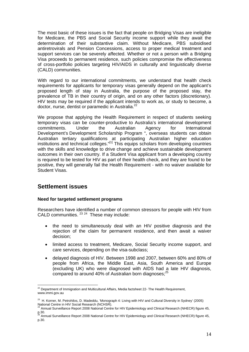The most basic of these issues is the fact that people on Bridging Visas are ineligible for Medicare, the PBS and Social Security income support while they await the determination of their substantive claim. Without Medicare, PBS subsidised antiretrovirals and Pension Concessions, access to proper medical treatment and support services can be severely affected. Whether or not a person with a Bridging Visa proceeds to permanent residence, such policies compromise the effectiveness of cross-portfolio policies targeting HIV/AIDS in culturally and linguistically diverse (CALD) communities.

With regard to our international commitments, we understand that health check requirements for applicants for temporary visas generally depend on the applicant's proposed length of stay in Australia, the purpose of the proposed stay, the prevalence of TB in their country of origin, and on any other factors (discretionary). HIV tests may be required if the applicant intends to work as, or study to become, a doctor, nurse, dentist or paramedic in Australia.<sup>22</sup>

We propose that applying the Health Requirement in respect of students seeking temporary visas can be counter-productive to Australia's international development commitments. Under the Australian Agency for International Development's Development Scholarship Program ", overseas students can obtain Australian tertiary qualifications at participating Australian higher education institutions and technical colleges."<sup>[1]</sup> This equips scholars from developing countries with the skills and knowledge to drive change and achieve sustainable development outcomes in their own country. If a Student Visa applicant from a developing country is required to be tested for HIV as part of their health check, and they are found to be positive, they will generally fail the Health Requirement - with no waiver available for Student Visas.

## **Settlement issues**

#### **Need for targeted settlement programs**

Researchers have identified a number of common stressors for people with HIV from CALD communities. <sup>23, 24</sup> These may include:

- the need to simultaneously deal with an HIV positive diagnosis and the rejection of the claim for permanent residence, and then await a waiver decision;
- limited access to treatment, Medicare, Social Security income support, and care services, depending on the visa-subclass;
- delayed diagnosis of HIV. Between 1998 and 2007, between 60% and 80% of people from Africa, the Middle East, Asia, South America and Europe (excluding UK) who were diagnosed with AIDS had a late HIV diagnosis, compared to around 40% of Australian born diagnoses;<sup>25</sup>

<sup>1</sup>  $^{22}$  Department of Immigration and Multicultural Affairs, Media factsheet 22- The Health Requirement, www.immi.gov.au

<sup>&</sup>lt;sup>23</sup> H. Korner, M. Petrohilos, D. Madeddu, 'Monograph 4: Living with HIV and Cultural Diversity in Sydney' (2005) National Centre in HIV Social Research (NCHSR).<br><sup>24</sup><sub>24</sub>

<sup>&</sup>lt;sup>4</sup> Annual Surveillance Report 2008 National Centre for HIV Epidemiology and Clinical Research (NHECR) figure 45, p.30.<br><sup>25</sup> Annual Surveillance Report 2008 National Centre for HIV Epidemiology and Clinical Research (NHECR) figure 45,

p.30.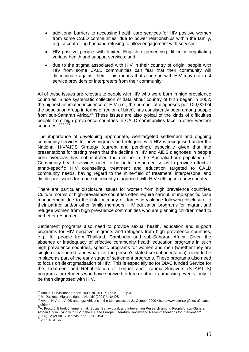- additional barriers to accessing health care services for HIV positive women from some CALD communities, due to power relationships within the family, e.g., a controlling husband refusing to allow engagement with services;
- HIV-positive people with limited English experiencing difficulty negotiating various health and support services; and
- due to the stigma associated with HIV in their country of origin, people with HIV from some CALD communities can fear that their community will discriminate against them. This means that a person with HIV may not trust service providers or interpreters from their community.

All of these issues are relevant to people with HIV who were born in high prevalence countries. Since systematic collection of data about country of birth began in 2002, the highest estimated incidence of HIV (i.e., the number of diagnoses per 100,000 of the population group in terms of region of birth), has consistently been among people from sub-Saharan Africa.26 These issues are also typical of the kinds of difficulties people from high prevalence countries in CALD communities face in other western countries.  $27282$ 

The importance of developing appropriate, well-targeted settlement and ongoing community services for new migrants and refugees with HIV is recognised under the National HIV/AIDS Strategy (current and pending), especially given that late presentations for testing mean that the decline in HIV and AIDS diagnoses in people born overseas has not matched the decline in the Australia-born population.<sup>30</sup> Community health services need to be better resourced so as to provide effective ethno-specific HIV counselling, treatment and education targeted to CALD community needs, having regard to the mine-field of treatment, interpersonal and disclosure issues for a person recently diagnosed with HIV settling in a new country.

There are particular disclosure issues for women from high prevalence countries. Cultural norms of high-prevalence countries often require careful, ethno-specific case management due to the risk for many of domestic violence following disclosure to their partner and/or other family members. HIV education programs for migrant and refugee women from high prevalence communities who are planning children need to be better resourced.

Settlement programs also need to provide sexual health, education and support programs for HIV negative migrants and refugees from high prevalence countries, e.g., for people from Thailand, Cambodia and sub-Saharan Africa. Given the absence or inadequacy of effective community health education programs in such high prevalence countries, specific programs for women and men (whether they are single or partnered, and whatever the person's stated sexual orientation), need to be in place as part of the early stage of settlement programs. These programs also need to focus on de-stigmatisation of HIV. This is especially so for DIAC funded Service for the Treatment and Rehabilitation of Torture and Trauma Survivors (STARTTS) programs for refugees who have survived torture or other traumatising events, only to be then diagnosed with HIV.

<sup>&</sup>lt;sup>26</sup> Annual Surveillance Report 2009, NCHECR, Table 1.1.5, p.37

<sup>27</sup> M. Duckett, 'Migrants right to Health' (2001) UNAIDS<br>28 Avert, 'HIV and AIDS amongst Africans in the UK' accessed 21 October 2009 <http://www.avert.org/aids-africansuk.htm>

<sup>29</sup>A. Prost, J. Elford, J. Imrie, et. al. 'Social, Behavioural, and Intervention Research among People of sub-Saharan African Origin Living with HIV in the UK and Europe: Literature Review and Recommendations for Intervention' (2008) 12 (2) AIDS Behaviour pp. 170 – 194

<sup>2009</sup> NCHCR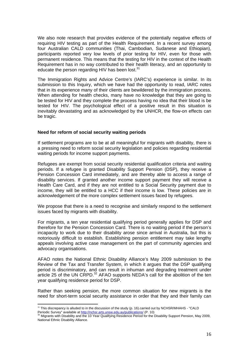We also note research that provides evidence of the potentially negative effects of requiring HIV testing as part of the Health Requirement. In a recent survey among four Australian CALD communities (Thai, Cambodian, Sudanese and Ethiopian), participants reported very low levels of prior testing for HIV, even for those with permanent residence. This means that the testing for HIV in the context of the Health Requirement has in no way contributed to their health literacy, and an opportunity to educate the person regarding HIV has been lost.<sup>31</sup>

The Immigration Rights and Advice Centre's (IARC's) experience is similar. In its submission to this Inquiry, which we have had the opportunity to read, IARC notes that in its experience many of their clients are bewildered by the immigration process. When attending for health checks, many have no knowledge that they are going to be tested for HIV and they complete the process having no idea that their blood is be tested for HIV. The psychological effect of a positive result in this situation is inevitably devastating and as acknowledged by the UNHCR, the flow-on effects can be tragic.

#### **Need for reform of social security waiting periods**

If settlement programs are to be at all meaningful for migrants with disability, there is a pressing need to reform social security legislation and policies regarding residential waiting periods for income support payments.

Refugees are exempt from social security residential qualification criteria and waiting periods. If a refugee is granted Disability Support Pension (DSP), they receive a Pension Concession Card immediately, and are thereby able to access a range of disability services. If granted another income support payment they will receive a Health Care Card, and if they are not entitled to a Social Security payment due to income, they will be entitled to a HCC if their income is low. These policies are in acknowledgement of the more complex settlement issues faced by refugees.

We propose that there is a need to recognise and similarly respond to the settlement issues faced by migrants with disability.

For migrants, a ten year residential qualifying period generally applies for DSP and therefore for the Pension Concession Card. There is no waiting period if the person's incapacity to work due to their disability arose since arrival in Australia, but this is notoriously difficult to establish. Establishing pension entitlement may take lengthy appeals involving active case management on the part of community agencies and advocacy organisations.

AFAO notes the National Ethnic Disability Alliance's May 2009 submission to the Review of the Tax and Transfer System, in which it argues that the DSP qualifying period is discriminatory, and can result in inhuman and degrading treatment under article 25 of the UN CRPD.<sup>32</sup> AFAO supports NEDA's call for the abolition of the ten year qualifying residence period for DSP.

Rather than seeking pension, the more common situation for new migrants is the need for short-term social security assistance in order that they and their family can

<sup>1</sup>  $31$  This discrepancy is alluded to in the discussion of the study (p. 16).carried out by NCHSR/MHAHS - "CALD

Periodic Survey" available at http://nchsr.arts.unsw.edu.au/publications/ (P. 10)<br><sup>32</sup> Migrants with Disability and the 10 Year Qualifying Residence Period for the Disability Support Pension, May 2009, National Ethnic Disability Alliance.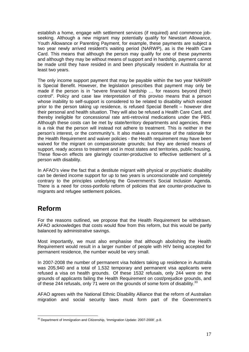establish a home, engage with settlement services (if required) and commence jobseeking. Although a new migrant may potentially qualify for Newstart Allowance, Youth Allowance or Parenting Payment, for example, these payments are subject a two year newly arrived resident's waiting period (NARWP), as is the Health Care Card. This means that although the person may qualify for one of these payments and although they may be without means of support and in hardship, payment cannot be made until they have resided in and been physically resident in Australia for at least two years.

The only income support payment that may be payable within the two year NARWP is Special Benefit. However, the legislation prescribes that payment may only be made if the person is in "severe financial hardship … for reasons beyond (their) control". Policy and case law interpretation of this proviso means that a person whose inability to self-support is considered to be related to disability which existed prior to the person taking up residence, is refused Special Benefit – however dire their personal and health situation. They will also be refused a Health Care Card, and thereby ineligible for concessional rate anti-retroviral medications under the PBS. Although these costs can be met by state/territory departments and agencies, there is a risk that the person will instead not adhere to treatment. This is neither in the person's interest, or the community's. It also makes a nonsense of the rationale for the Health Requirement and waiver policies - the Health requirement may have been waived for the migrant on compassionate grounds; but they are denied means of support, ready access to treatment and in most states and territories, public housing. These flow-on effects are glaringly counter-productive to effective settlement of a person with disability.

In AFAO's view the fact that a destitute migrant with physical or psychiatric disability can be denied income support for up to two years is unconscionable and completely contrary to the principles underlying the Government's Social Inclusion Agenda. There is a need for cross-portfolio reform of policies that are counter-productive to migrants and refugee settlement policies.

# **Reform**

For the reasons outlined, we propose that the Health Requirement be withdrawn. AFAO acknowledges that costs would flow from this reform, but this would be partly balanced by administrative savings.

Most importantly, we must also emphasise that although abolishing the Health Requirement would result in a larger number of people with HIV being accepted for permanent residence, the number would be very small.

In 2007-2008 the number of permanent visa holders taking up residence in Australia was 205,940 and a total of 1,532 temporary and permanent visa applicants were refused a visa on health grounds. Of these 1532 refusals, only 244 were on the grounds of applicants failing the Health Requirement on cost/prejudice grounds, and of these 244 refusals, only  $\overline{7}1$  were on the grounds of some form of disability.<sup>33</sup>

AFAO agrees with the National Ethnic Disability Alliance that the reform of Australian migration and social security laws must form part of the Government's

<sup>1</sup>  $33$  Department of Immigration and Citizenship, 'Immigration Update: 2007-2008', p.8.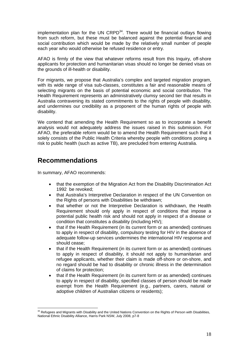implementation plan for the UN  $CRPD<sup>34</sup>$ . There would be financial outlays flowing from such reform, but these must be balanced against the potential financial and social contribution which would be made by the relatively small number of people each year who would otherwise be refused residence or entry.

AFAO is firmly of the view that whatever reforms result from this Inquiry, off-shore applicants for protection and humanitarian visas should no longer be denied visas on the grounds of ill-health or disability.

For migrants, we propose that Australia's complex and targeted migration program, with its wide range of visa sub-classes, constitutes a fair and reasonable means of selecting migrants on the basis of potential economic and social contribution. The Health Requirement represents an administratively clumsy second tier that results in Australia contravening its stated commitments to the rights of people with disability, and undermines our credibility as a proponent of the human rights of people with disability.

We contend that amending the Health Requirement so as to incorporate a benefit analysis would not adequately address the issues raised in this submission. For AFAO, the preferable reform would be to amend the Health Requirement such that it solely consists of the Public Health Criteria whereby people with conditions posing a risk to public health (such as active TB), are precluded from entering Australia.

# **Recommendations**

In summary, AFAO recommends:

- that the exemption of the Migration Act from the Disability Discrimination Act 1992 be revoked;
- that Australia's Interpretive Declaration in respect of the UN Convention on the Rights of persons with Disabilities be withdrawn;
- that whether or not the Interpretive Declaration is withdrawn, the Health Requirement should only apply in respect of conditions that impose a potential public health risk and should not apply in respect of a disease or condition that constitutes a disability (including HIV);
- that if the Health Requirement (in its current form or as amended) continues to apply in respect of disability, compulsory testing for HIV in the absence of adequate follow-up services undermines the international HIV response and should cease;
- that if the Health Requirement (in its current form or as amended) continues to apply in respect of disability, it should not apply to humanitarian and refugee applicants, whether their claim is made off-shore or on-shore, and no regard should be had to disability or chronic illness in the determination of claims for protection;
- that if the Health Requirement (in its current form or as amended) continues to apply in respect of disability, specified classes of person should be made exempt from the Health Requirement (e.g., partners, carers, natural or adoptive children of Australian citizens or residents);

<sup>1</sup> <sup>34</sup> Refugees and Migrants with Disability and the United Nations Convention on the Rights of Person with Disabilities, National Ethnic Disability Alliance, Harris Park NSW, July 2008, p7-8